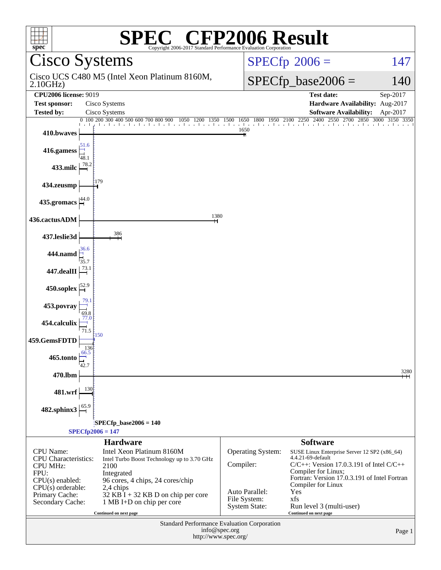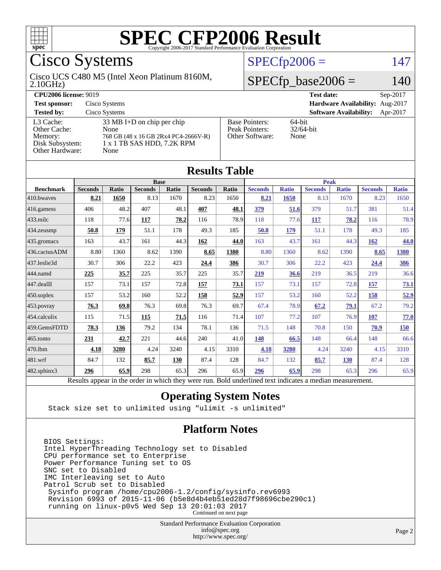

# Cisco Systems

#### 2.10GHz) Cisco UCS C480 M5 (Intel Xeon Platinum 8160M,

**[CPU2006 license:](http://www.spec.org/auto/cpu2006/Docs/result-fields.html#CPU2006license)** 9019 **[Test date:](http://www.spec.org/auto/cpu2006/Docs/result-fields.html#Testdate)** Sep-2017 **[Test sponsor:](http://www.spec.org/auto/cpu2006/Docs/result-fields.html#Testsponsor)** Cisco Systems **[Hardware Availability:](http://www.spec.org/auto/cpu2006/Docs/result-fields.html#HardwareAvailability)** Aug-2017

#### **[Tested by:](http://www.spec.org/auto/cpu2006/Docs/result-fields.html#Testedby)** Cisco Systems **[Software Availability:](http://www.spec.org/auto/cpu2006/Docs/result-fields.html#SoftwareAvailability)** Apr-2017 [L3 Cache:](http://www.spec.org/auto/cpu2006/Docs/result-fields.html#L3Cache) 33 MB I+D on chip per chip<br>Other Cache: None [Other Cache:](http://www.spec.org/auto/cpu2006/Docs/result-fields.html#OtherCache) [Memory:](http://www.spec.org/auto/cpu2006/Docs/result-fields.html#Memory) 768 GB (48 x 16 GB 2Rx4 PC4-2666V-R) [Disk Subsystem:](http://www.spec.org/auto/cpu2006/Docs/result-fields.html#DiskSubsystem) 1 x 1 TB SAS HDD, 7.2K RPM [Other Hardware:](http://www.spec.org/auto/cpu2006/Docs/result-fields.html#OtherHardware) None

| <b>Base Pointers:</b><br>Peak Pointers:<br>Other Software: | 3 |
|------------------------------------------------------------|---|

4-bit  $2/64$ -bit

one<sup>.</sup>

| <b>Results Table</b> |                                                                                                          |              |                |       |                |              |                |              |                |              |                |              |
|----------------------|----------------------------------------------------------------------------------------------------------|--------------|----------------|-------|----------------|--------------|----------------|--------------|----------------|--------------|----------------|--------------|
|                      | <b>Base</b>                                                                                              |              |                |       | <b>Peak</b>    |              |                |              |                |              |                |              |
| <b>Benchmark</b>     | <b>Seconds</b>                                                                                           | <b>Ratio</b> | <b>Seconds</b> | Ratio | <b>Seconds</b> | <b>Ratio</b> | <b>Seconds</b> | <b>Ratio</b> | <b>Seconds</b> | <b>Ratio</b> | <b>Seconds</b> | <b>Ratio</b> |
| 410.bwayes           | 8.21                                                                                                     | 1650         | 8.13           | 1670  | 8.23           | 1650         | 8.21           | 1650         | 8.13           | 1670         | 8.23           | 1650         |
| 416.gamess           | 406                                                                                                      | 48.2         | 407            | 48.1  | 407            | 48.1         | 379            | 51.6         | 379            | 51.7         | 381            | 51.4         |
| $433$ .milc          | 118                                                                                                      | 77.6         | 117            | 78.2  | 116            | 78.9         | 118            | 77.6         | 117            | 78.2         | 116            | 78.9         |
| 434.zeusmp           | 50.8                                                                                                     | 179          | 51.1           | 178   | 49.3           | 185          | 50.8           | 179          | 51.1           | 178          | 49.3           | 185          |
| 435.gromacs          | 163                                                                                                      | 43.7         | 161            | 44.3  | 162            | 44.0         | 163            | 43.7         | 161            | 44.3         | 162            | 44.0         |
| 436.cactusADM        | 8.80                                                                                                     | 1360         | 8.62           | 1390  | 8.65           | 1380         | 8.80           | 1360         | 8.62           | 1390         | 8.65           | 1380         |
| 437.leslie3d         | 30.7                                                                                                     | 306          | 22.2           | 423   | 24.4           | 386          | 30.7           | 306          | 22.2           | 423          | 24.4           | <u>386</u>   |
| 444.namd             | 225                                                                                                      | 35.7         | 225            | 35.7  | 225            | 35.7         | 219            | 36.6         | 219            | 36.5         | 219            | 36.6         |
| 447.dealII           | 157                                                                                                      | 73.1         | 157            | 72.8  | 157            | 73.1         | 157            | 73.1         | 157            | 72.8         | 157            | <b>73.1</b>  |
| 450.soplex           | 157                                                                                                      | 53.2         | 160            | 52.2  | 158            | 52.9         | 157            | 53.2         | 160            | 52.2         | 158            | 52.9         |
| 453.povray           | 76.3                                                                                                     | 69.8         | 76.3           | 69.8  | 76.3           | 69.7         | 67.4           | 78.9         | 67.2           | 79.1         | 67.2           | 79.2         |
| 454.calculix         | 115                                                                                                      | 71.5         | 115            | 71.5  | 116            | 71.4         | 107            | 77.2         | 107            | 76.9         | 107            | 77.0         |
| 459.GemsFDTD         | 78.3                                                                                                     | 136          | 79.2           | 134   | 78.1           | 136          | 71.5           | 148          | 70.8           | 150          | 70.9           | <u>150</u>   |
| 465.tonto            | 231                                                                                                      | 42.7         | 221            | 44.6  | 240            | 41.0         | 148            | 66.5         | 148            | 66.4         | 148            | 66.6         |
| 470.1bm              | 4.18                                                                                                     | 3280         | 4.24           | 3240  | 4.15           | 3310         | 4.18           | 3280         | 4.24           | 3240         | 4.15           | 3310         |
| 481.wrf              | 84.7                                                                                                     | 132          | 85.7           | 130   | 87.4           | 128          | 84.7           | 132          | 85.7           | <b>130</b>   | 87.4           | 128          |
| 482.sphinx3          | 296                                                                                                      | 65.9         | 298            | 65.3  | 296            | 65.9         | 296            | 65.9         | 298            | 65.3         | 296            | 65.9         |
|                      | Results appear in the order in which they were run. Bold underlined text indicates a median measurement. |              |                |       |                |              |                |              |                |              |                |              |

### **[Operating System Notes](http://www.spec.org/auto/cpu2006/Docs/result-fields.html#OperatingSystemNotes)**

Stack size set to unlimited using "ulimit -s unlimited"

### **[Platform Notes](http://www.spec.org/auto/cpu2006/Docs/result-fields.html#PlatformNotes)**

BIOS Settings: Intel HyperThreading Technology set to Disabled CPU performance set to Enterprise Power Performance Tuning set to OS SNC set to Disabled IMC Interleaving set to Auto Patrol Scrub set to Disabled Sysinfo program /home/cpu2006-1.2/config/sysinfo.rev6993 Revision 6993 of 2015-11-06 (b5e8d4b4eb51ed28d7f98696cbe290c1) running on linux-p0v5 Wed Sep 13 20:01:03 2017 Continued on next page

> Standard Performance Evaluation Corporation [info@spec.org](mailto:info@spec.org) <http://www.spec.org/>

#### Page 2

 $SPECTp2006 = 147$ 

## $SPECfp\_base2006 = 140$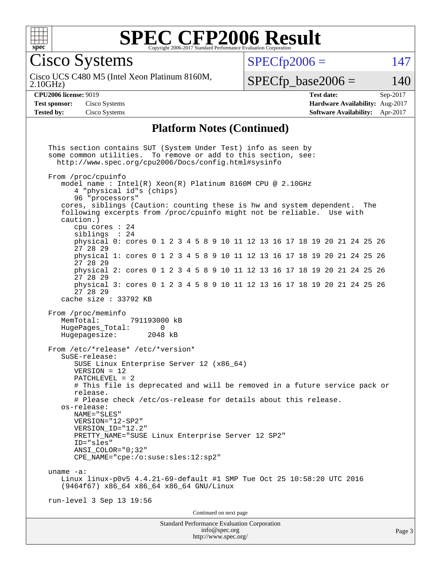

Cisco Systems

2.10GHz) Cisco UCS C480 M5 (Intel Xeon Platinum 8160M,  $SPECTp2006 = 147$ 

 $SPECfp\_base2006 = 140$ 

**[CPU2006 license:](http://www.spec.org/auto/cpu2006/Docs/result-fields.html#CPU2006license)** 9019 **[Test date:](http://www.spec.org/auto/cpu2006/Docs/result-fields.html#Testdate)** Sep-2017 **[Test sponsor:](http://www.spec.org/auto/cpu2006/Docs/result-fields.html#Testsponsor)** Cisco Systems **[Hardware Availability:](http://www.spec.org/auto/cpu2006/Docs/result-fields.html#HardwareAvailability)** Aug-2017 **[Tested by:](http://www.spec.org/auto/cpu2006/Docs/result-fields.html#Testedby)** Cisco Systems **[Software Availability:](http://www.spec.org/auto/cpu2006/Docs/result-fields.html#SoftwareAvailability)** Apr-2017

#### **[Platform Notes \(Continued\)](http://www.spec.org/auto/cpu2006/Docs/result-fields.html#PlatformNotes)**

Standard Performance Evaluation Corporation [info@spec.org](mailto:info@spec.org) Page 3 This section contains SUT (System Under Test) info as seen by some common utilities. To remove or add to this section, see: <http://www.spec.org/cpu2006/Docs/config.html#sysinfo> From /proc/cpuinfo model name : Intel(R) Xeon(R) Platinum 8160M CPU @ 2.10GHz 4 "physical id"s (chips) 96 "processors" cores, siblings (Caution: counting these is hw and system dependent. The following excerpts from /proc/cpuinfo might not be reliable. Use with caution.) cpu cores : 24 siblings : 24 physical 0: cores 0 1 2 3 4 5 8 9 10 11 12 13 16 17 18 19 20 21 24 25 26 27 28 29 physical 1: cores 0 1 2 3 4 5 8 9 10 11 12 13 16 17 18 19 20 21 24 25 26 27 28 29 physical 2: cores 0 1 2 3 4 5 8 9 10 11 12 13 16 17 18 19 20 21 24 25 26 27 28 29 physical 3: cores 0 1 2 3 4 5 8 9 10 11 12 13 16 17 18 19 20 21 24 25 26 27 28 29 cache size : 33792 KB From /proc/meminfo<br>MemTotal: 791193000 kB HugePages\_Total: 0<br>Hugepagesize: 2048 kB Hugepagesize: From /etc/\*release\* /etc/\*version\* SuSE-release: SUSE Linux Enterprise Server 12 (x86\_64) VERSION = 12 PATCHLEVEL = 2 # This file is deprecated and will be removed in a future service pack or release. # Please check /etc/os-release for details about this release. os-release: NAME="SLES" VERSION="12-SP2" VERSION\_ID="12.2" PRETTY\_NAME="SUSE Linux Enterprise Server 12 SP2" ID="sles" ANSI\_COLOR="0;32" CPE\_NAME="cpe:/o:suse:sles:12:sp2" uname -a: Linux linux-p0v5 4.4.21-69-default #1 SMP Tue Oct 25 10:58:20 UTC 2016 (9464f67) x86\_64 x86\_64 x86\_64 GNU/Linux run-level 3 Sep 13 19:56 Continued on next page

<http://www.spec.org/>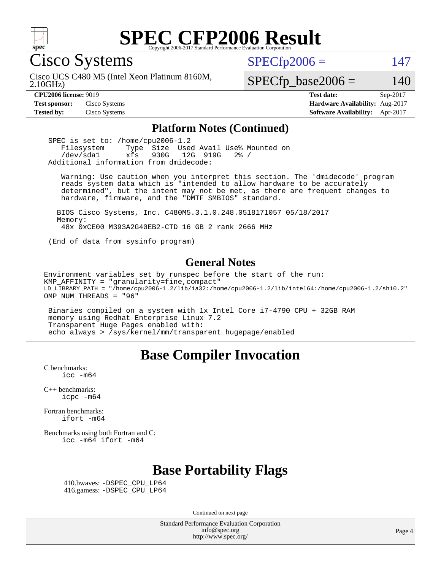

Cisco Systems

 $SPECTp2006 = 147$ 

2.10GHz) Cisco UCS C480 M5 (Intel Xeon Platinum 8160M,

 $SPECfp\_base2006 = 140$ 

**[CPU2006 license:](http://www.spec.org/auto/cpu2006/Docs/result-fields.html#CPU2006license)** 9019 **[Test date:](http://www.spec.org/auto/cpu2006/Docs/result-fields.html#Testdate)** Sep-2017 **[Test sponsor:](http://www.spec.org/auto/cpu2006/Docs/result-fields.html#Testsponsor)** Cisco Systems **[Hardware Availability:](http://www.spec.org/auto/cpu2006/Docs/result-fields.html#HardwareAvailability)** Aug-2017 **[Tested by:](http://www.spec.org/auto/cpu2006/Docs/result-fields.html#Testedby)** Cisco Systems **[Software Availability:](http://www.spec.org/auto/cpu2006/Docs/result-fields.html#SoftwareAvailability)** Apr-2017

#### **[Platform Notes \(Continued\)](http://www.spec.org/auto/cpu2006/Docs/result-fields.html#PlatformNotes)**

SPEC is set to: /home/cpu2006-1.2<br>Filesystem Type Size Use Type Size Used Avail Use% Mounted on /dev/sda1 xfs 930G 12G 919G 2% / Additional information from dmidecode:

 Warning: Use caution when you interpret this section. The 'dmidecode' program reads system data which is "intended to allow hardware to be accurately determined", but the intent may not be met, as there are frequent changes to hardware, firmware, and the "DMTF SMBIOS" standard.

 BIOS Cisco Systems, Inc. C480M5.3.1.0.248.0518171057 05/18/2017 Memory: 48x 0xCE00 M393A2G40EB2-CTD 16 GB 2 rank 2666 MHz

(End of data from sysinfo program)

#### **[General Notes](http://www.spec.org/auto/cpu2006/Docs/result-fields.html#GeneralNotes)**

Environment variables set by runspec before the start of the run: KMP AFFINITY = "granularity=fine, compact" LD\_LIBRARY\_PATH = "/home/cpu2006-1.2/lib/ia32:/home/cpu2006-1.2/lib/intel64:/home/cpu2006-1.2/sh10.2" OMP NUM THREADS = "96"

 Binaries compiled on a system with 1x Intel Core i7-4790 CPU + 32GB RAM memory using Redhat Enterprise Linux 7.2 Transparent Huge Pages enabled with: echo always > /sys/kernel/mm/transparent\_hugepage/enabled

### **[Base Compiler Invocation](http://www.spec.org/auto/cpu2006/Docs/result-fields.html#BaseCompilerInvocation)**

[C benchmarks](http://www.spec.org/auto/cpu2006/Docs/result-fields.html#Cbenchmarks):  $\text{icc}$   $-\text{m64}$ 

[C++ benchmarks:](http://www.spec.org/auto/cpu2006/Docs/result-fields.html#CXXbenchmarks) [icpc -m64](http://www.spec.org/cpu2006/results/res2017q4/cpu2006-20170919-50164.flags.html#user_CXXbase_intel_icpc_64bit_fc66a5337ce925472a5c54ad6a0de310)

[Fortran benchmarks](http://www.spec.org/auto/cpu2006/Docs/result-fields.html#Fortranbenchmarks): [ifort -m64](http://www.spec.org/cpu2006/results/res2017q4/cpu2006-20170919-50164.flags.html#user_FCbase_intel_ifort_64bit_ee9d0fb25645d0210d97eb0527dcc06e)

[Benchmarks using both Fortran and C](http://www.spec.org/auto/cpu2006/Docs/result-fields.html#BenchmarksusingbothFortranandC): [icc -m64](http://www.spec.org/cpu2006/results/res2017q4/cpu2006-20170919-50164.flags.html#user_CC_FCbase_intel_icc_64bit_bda6cc9af1fdbb0edc3795bac97ada53) [ifort -m64](http://www.spec.org/cpu2006/results/res2017q4/cpu2006-20170919-50164.flags.html#user_CC_FCbase_intel_ifort_64bit_ee9d0fb25645d0210d97eb0527dcc06e)

# **[Base Portability Flags](http://www.spec.org/auto/cpu2006/Docs/result-fields.html#BasePortabilityFlags)**

 410.bwaves: [-DSPEC\\_CPU\\_LP64](http://www.spec.org/cpu2006/results/res2017q4/cpu2006-20170919-50164.flags.html#suite_basePORTABILITY410_bwaves_DSPEC_CPU_LP64) 416.gamess: [-DSPEC\\_CPU\\_LP64](http://www.spec.org/cpu2006/results/res2017q4/cpu2006-20170919-50164.flags.html#suite_basePORTABILITY416_gamess_DSPEC_CPU_LP64)

Continued on next page

Standard Performance Evaluation Corporation [info@spec.org](mailto:info@spec.org) <http://www.spec.org/>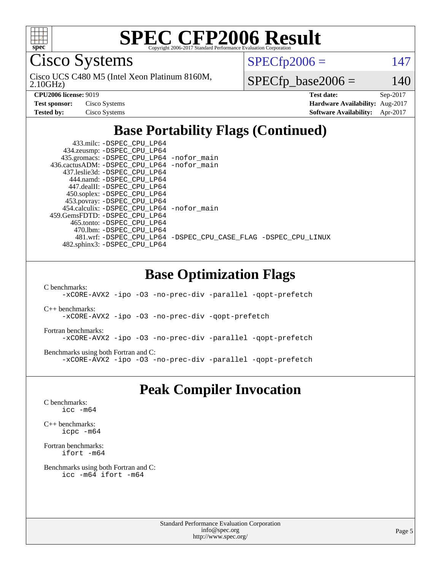

Cisco Systems

2.10GHz) Cisco UCS C480 M5 (Intel Xeon Platinum 8160M,  $SPECTp2006 = 147$ 

 $SPECfp\_base2006 = 140$ 

| <b>Test sponsor:</b> | Cisco Systems |
|----------------------|---------------|
| Tested bv:           | Cisco Systems |

**[CPU2006 license:](http://www.spec.org/auto/cpu2006/Docs/result-fields.html#CPU2006license)** 9019 **[Test date:](http://www.spec.org/auto/cpu2006/Docs/result-fields.html#Testdate)** Sep-2017 **[Hardware Availability:](http://www.spec.org/auto/cpu2006/Docs/result-fields.html#HardwareAvailability)** Aug-2017 **[Software Availability:](http://www.spec.org/auto/cpu2006/Docs/result-fields.html#SoftwareAvailability)** Apr-2017

# **[Base Portability Flags \(Continued\)](http://www.spec.org/auto/cpu2006/Docs/result-fields.html#BasePortabilityFlags)**

| 433.milc: -DSPEC CPU LP64                    |                                                                |
|----------------------------------------------|----------------------------------------------------------------|
| 434.zeusmp: -DSPEC_CPU_LP64                  |                                                                |
| 435.gromacs: -DSPEC_CPU_LP64 -nofor_main     |                                                                |
| 436.cactusADM: - DSPEC CPU LP64 - nofor main |                                                                |
| 437.leslie3d: -DSPEC CPU LP64                |                                                                |
| 444.namd: -DSPEC CPU LP64                    |                                                                |
| 447.dealII: -DSPEC CPU LP64                  |                                                                |
| 450.soplex: -DSPEC_CPU_LP64                  |                                                                |
| 453.povray: -DSPEC_CPU_LP64                  |                                                                |
| 454.calculix: - DSPEC CPU LP64 - nofor main  |                                                                |
| 459. GemsFDTD: - DSPEC CPU LP64              |                                                                |
| 465.tonto: - DSPEC_CPU LP64                  |                                                                |
| 470.1bm: - DSPEC CPU LP64                    |                                                                |
|                                              | 481.wrf: -DSPEC_CPU_LP64 -DSPEC_CPU_CASE_FLAG -DSPEC_CPU_LINUX |
| 482.sphinx3: -DSPEC_CPU_LP64                 |                                                                |

### **[Base Optimization Flags](http://www.spec.org/auto/cpu2006/Docs/result-fields.html#BaseOptimizationFlags)**

[C benchmarks](http://www.spec.org/auto/cpu2006/Docs/result-fields.html#Cbenchmarks):

[-xCORE-AVX2](http://www.spec.org/cpu2006/results/res2017q4/cpu2006-20170919-50164.flags.html#user_CCbase_f-xCORE-AVX2) [-ipo](http://www.spec.org/cpu2006/results/res2017q4/cpu2006-20170919-50164.flags.html#user_CCbase_f-ipo) [-O3](http://www.spec.org/cpu2006/results/res2017q4/cpu2006-20170919-50164.flags.html#user_CCbase_f-O3) [-no-prec-div](http://www.spec.org/cpu2006/results/res2017q4/cpu2006-20170919-50164.flags.html#user_CCbase_f-no-prec-div) [-parallel](http://www.spec.org/cpu2006/results/res2017q4/cpu2006-20170919-50164.flags.html#user_CCbase_f-parallel) [-qopt-prefetch](http://www.spec.org/cpu2006/results/res2017q4/cpu2006-20170919-50164.flags.html#user_CCbase_f-qopt-prefetch)

[C++ benchmarks:](http://www.spec.org/auto/cpu2006/Docs/result-fields.html#CXXbenchmarks) [-xCORE-AVX2](http://www.spec.org/cpu2006/results/res2017q4/cpu2006-20170919-50164.flags.html#user_CXXbase_f-xCORE-AVX2) [-ipo](http://www.spec.org/cpu2006/results/res2017q4/cpu2006-20170919-50164.flags.html#user_CXXbase_f-ipo) [-O3](http://www.spec.org/cpu2006/results/res2017q4/cpu2006-20170919-50164.flags.html#user_CXXbase_f-O3) [-no-prec-div](http://www.spec.org/cpu2006/results/res2017q4/cpu2006-20170919-50164.flags.html#user_CXXbase_f-no-prec-div) [-qopt-prefetch](http://www.spec.org/cpu2006/results/res2017q4/cpu2006-20170919-50164.flags.html#user_CXXbase_f-qopt-prefetch)

[Fortran benchmarks](http://www.spec.org/auto/cpu2006/Docs/result-fields.html#Fortranbenchmarks): [-xCORE-AVX2](http://www.spec.org/cpu2006/results/res2017q4/cpu2006-20170919-50164.flags.html#user_FCbase_f-xCORE-AVX2) [-ipo](http://www.spec.org/cpu2006/results/res2017q4/cpu2006-20170919-50164.flags.html#user_FCbase_f-ipo) [-O3](http://www.spec.org/cpu2006/results/res2017q4/cpu2006-20170919-50164.flags.html#user_FCbase_f-O3) [-no-prec-div](http://www.spec.org/cpu2006/results/res2017q4/cpu2006-20170919-50164.flags.html#user_FCbase_f-no-prec-div) [-parallel](http://www.spec.org/cpu2006/results/res2017q4/cpu2006-20170919-50164.flags.html#user_FCbase_f-parallel) [-qopt-prefetch](http://www.spec.org/cpu2006/results/res2017q4/cpu2006-20170919-50164.flags.html#user_FCbase_f-qopt-prefetch)

[Benchmarks using both Fortran and C](http://www.spec.org/auto/cpu2006/Docs/result-fields.html#BenchmarksusingbothFortranandC): [-xCORE-AVX2](http://www.spec.org/cpu2006/results/res2017q4/cpu2006-20170919-50164.flags.html#user_CC_FCbase_f-xCORE-AVX2) [-ipo](http://www.spec.org/cpu2006/results/res2017q4/cpu2006-20170919-50164.flags.html#user_CC_FCbase_f-ipo) [-O3](http://www.spec.org/cpu2006/results/res2017q4/cpu2006-20170919-50164.flags.html#user_CC_FCbase_f-O3) [-no-prec-div](http://www.spec.org/cpu2006/results/res2017q4/cpu2006-20170919-50164.flags.html#user_CC_FCbase_f-no-prec-div) [-parallel](http://www.spec.org/cpu2006/results/res2017q4/cpu2006-20170919-50164.flags.html#user_CC_FCbase_f-parallel) [-qopt-prefetch](http://www.spec.org/cpu2006/results/res2017q4/cpu2006-20170919-50164.flags.html#user_CC_FCbase_f-qopt-prefetch)

### **[Peak Compiler Invocation](http://www.spec.org/auto/cpu2006/Docs/result-fields.html#PeakCompilerInvocation)**

[C benchmarks](http://www.spec.org/auto/cpu2006/Docs/result-fields.html#Cbenchmarks): [icc -m64](http://www.spec.org/cpu2006/results/res2017q4/cpu2006-20170919-50164.flags.html#user_CCpeak_intel_icc_64bit_bda6cc9af1fdbb0edc3795bac97ada53)

[C++ benchmarks:](http://www.spec.org/auto/cpu2006/Docs/result-fields.html#CXXbenchmarks) [icpc -m64](http://www.spec.org/cpu2006/results/res2017q4/cpu2006-20170919-50164.flags.html#user_CXXpeak_intel_icpc_64bit_fc66a5337ce925472a5c54ad6a0de310)

[Fortran benchmarks](http://www.spec.org/auto/cpu2006/Docs/result-fields.html#Fortranbenchmarks): [ifort -m64](http://www.spec.org/cpu2006/results/res2017q4/cpu2006-20170919-50164.flags.html#user_FCpeak_intel_ifort_64bit_ee9d0fb25645d0210d97eb0527dcc06e)

[Benchmarks using both Fortran and C](http://www.spec.org/auto/cpu2006/Docs/result-fields.html#BenchmarksusingbothFortranandC): [icc -m64](http://www.spec.org/cpu2006/results/res2017q4/cpu2006-20170919-50164.flags.html#user_CC_FCpeak_intel_icc_64bit_bda6cc9af1fdbb0edc3795bac97ada53) [ifort -m64](http://www.spec.org/cpu2006/results/res2017q4/cpu2006-20170919-50164.flags.html#user_CC_FCpeak_intel_ifort_64bit_ee9d0fb25645d0210d97eb0527dcc06e)

> Standard Performance Evaluation Corporation [info@spec.org](mailto:info@spec.org) <http://www.spec.org/>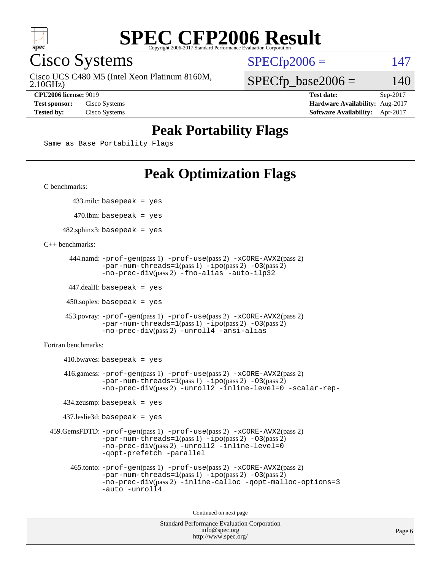

Cisco Systems

Cisco UCS C480 M5 (Intel Xeon Platinum 8160M,

 $SPECTp2006 = 147$ 

2.10GHz)

 $SPECfp\_base2006 = 140$ 

**[CPU2006 license:](http://www.spec.org/auto/cpu2006/Docs/result-fields.html#CPU2006license)** 9019 **[Test date:](http://www.spec.org/auto/cpu2006/Docs/result-fields.html#Testdate)** Sep-2017 **[Test sponsor:](http://www.spec.org/auto/cpu2006/Docs/result-fields.html#Testsponsor)** Cisco Systems **[Hardware Availability:](http://www.spec.org/auto/cpu2006/Docs/result-fields.html#HardwareAvailability)** Aug-2017 **[Tested by:](http://www.spec.org/auto/cpu2006/Docs/result-fields.html#Testedby)** Cisco Systems **[Software Availability:](http://www.spec.org/auto/cpu2006/Docs/result-fields.html#SoftwareAvailability)** Apr-2017

# **[Peak Portability Flags](http://www.spec.org/auto/cpu2006/Docs/result-fields.html#PeakPortabilityFlags)**

Same as Base Portability Flags

# **[Peak Optimization Flags](http://www.spec.org/auto/cpu2006/Docs/result-fields.html#PeakOptimizationFlags)**

[C benchmarks](http://www.spec.org/auto/cpu2006/Docs/result-fields.html#Cbenchmarks):

433.milc: basepeak = yes

 $470$ .lbm: basepeak = yes

 $482$ .sphinx3: basepeak = yes

[C++ benchmarks:](http://www.spec.org/auto/cpu2006/Docs/result-fields.html#CXXbenchmarks)

```
 444.namd: -prof-gen(pass 1) -prof-use(pass 2) -xCORE-AVX2(pass 2)
      -par-num-threads=1-ipo-O3(pass 2)-no-prec-div(pass 2) -fno-alias -auto-ilp32
```
447.dealII: basepeak = yes

 $450$ .soplex: basepeak = yes

```
 453.povray: -prof-gen(pass 1) -prof-use(pass 2) -xCORE-AVX2(pass 2)
        -par-num-threads=1-ipo-O3(pass 2)-no-prec-div(pass 2) -unroll4 -ansi-alias
```
[Fortran benchmarks](http://www.spec.org/auto/cpu2006/Docs/result-fields.html#Fortranbenchmarks):

```
410.bwaves: basepeak = yes 416.gamess: -prof-gen(pass 1) -prof-use(pass 2) -xCORE-AVX2(pass 2)
           -par-num-threads=1-ipo-O3(pass 2)-no-prec-div(pass 2) -unroll2 -inline-level=0 -scalar-rep-
   434.zeusmp: basepeak = yes
   437.leslie3d: basepeak = yes
459.GemsFDTD: -prof-gen(pass 1) -prof-use(pass 2) -xCORE-AVX2(pass 2)
           -par-num-threads=1-ipo-O3(pass 2)-no-prec-div(pass 2) -unroll2 -inline-level=0
           -qopt-prefetch -parallel
     465.tonto: -prof-gen(pass 1) -prof-use(pass 2) -xCORE-AVX2(pass 2)
           -par-num-threads=1(pass 1) -ipo(pass 2) -O3(pass 2)
           -no-prec-div-inline-calloc-qopt-malloc-options=3
           -auto -unroll4
```
Continued on next page

```
Standard Performance Evaluation Corporation
            info@spec.org
          http://www.spec.org/
```